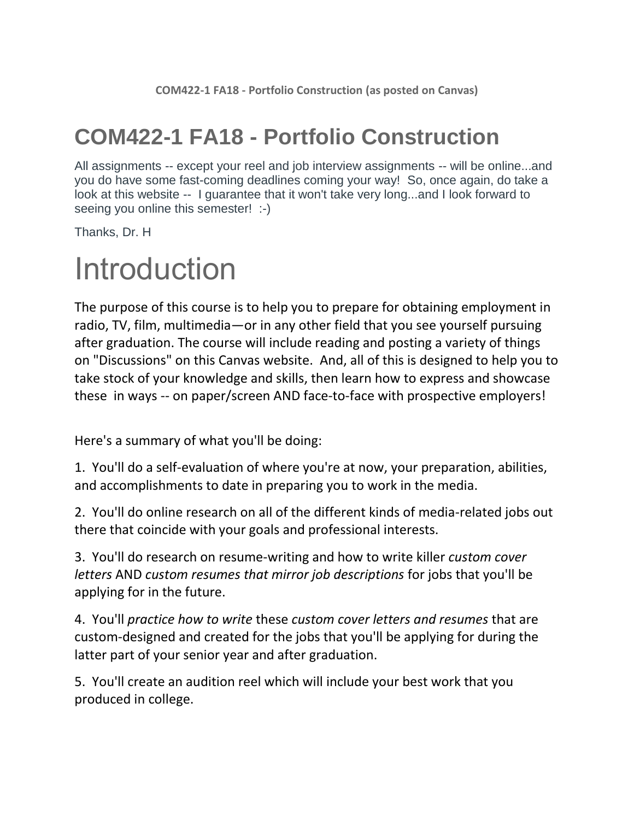### **COM422-1 FA18 - Portfolio Construction**

All assignments -- except your reel and job interview assignments -- will be online...and you do have some fast-coming deadlines coming your way! So, once again, do take a look at this website -- I guarantee that it won't take very long...and I look forward to seeing you online this semester! :-)

Thanks, Dr. H

## Introduction

The purpose of this course is to help you to prepare for obtaining employment in radio, TV, film, multimedia—or in any other field that you see yourself pursuing after graduation. The course will include reading and posting a variety of things on "Discussions" on this Canvas website. And, all of this is designed to help you to take stock of your knowledge and skills, then learn how to express and showcase these in ways -- on paper/screen AND face-to-face with prospective employers!

Here's a summary of what you'll be doing:

1. You'll do a self-evaluation of where you're at now, your preparation, abilities, and accomplishments to date in preparing you to work in the media.

2. You'll do online research on all of the different kinds of media-related jobs out there that coincide with your goals and professional interests.

3. You'll do research on resume-writing and how to write killer *custom cover letters* AND *custom resumes that mirror job descriptions* for jobs that you'll be applying for in the future.

4. You'll *practice how to write* these *custom cover letters and resumes* that are custom-designed and created for the jobs that you'll be applying for during the latter part of your senior year and after graduation.

5. You'll create an audition reel which will include your best work that you produced in college.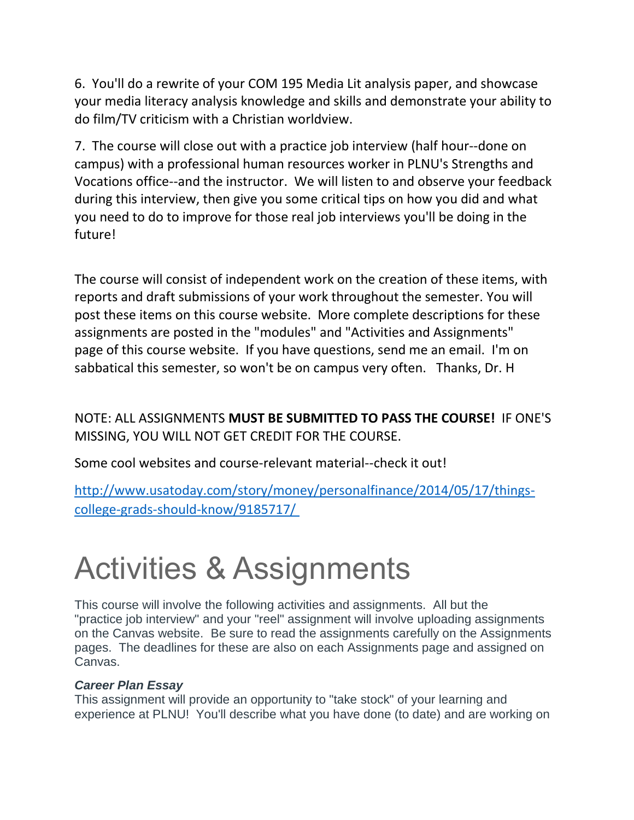6. You'll do a rewrite of your COM 195 Media Lit analysis paper, and showcase your media literacy analysis knowledge and skills and demonstrate your ability to do film/TV criticism with a Christian worldview.

7. The course will close out with a practice job interview (half hour--done on campus) with a professional human resources worker in PLNU's Strengths and Vocations office--and the instructor. We will listen to and observe your feedback during this interview, then give you some critical tips on how you did and what you need to do to improve for those real job interviews you'll be doing in the future!

The course will consist of independent work on the creation of these items, with reports and draft submissions of your work throughout the semester. You will post these items on this course website. More complete descriptions for these assignments are posted in the "modules" and "Activities and Assignments" page of this course website. If you have questions, send me an email. I'm on sabbatical this semester, so won't be on campus very often. Thanks, Dr. H

NOTE: ALL ASSIGNMENTS **MUST BE SUBMITTED TO PASS THE COURSE!** IF ONE'S MISSING, YOU WILL NOT GET CREDIT FOR THE COURSE.

Some cool websites and course-relevant material--check it out!

[http://www.usatoday.com/story/money/personalfinance/2014/05/17/things](http://www.usatoday.com/story/money/personalfinance/2014/05/17/things-college-grads-should-know/9185717/ )[college-grads-should-know/9185717/](http://www.usatoday.com/story/money/personalfinance/2014/05/17/things-college-grads-should-know/9185717/ )

# Activities & Assignments

This course will involve the following activities and assignments. All but the "practice job interview" and your "reel" assignment will involve uploading assignments on the Canvas website. Be sure to read the assignments carefully on the Assignments pages. The deadlines for these are also on each Assignments page and assigned on Canvas.

#### *Career Plan Essay*

This assignment will provide an opportunity to "take stock" of your learning and experience at PLNU! You'll describe what you have done (to date) and are working on